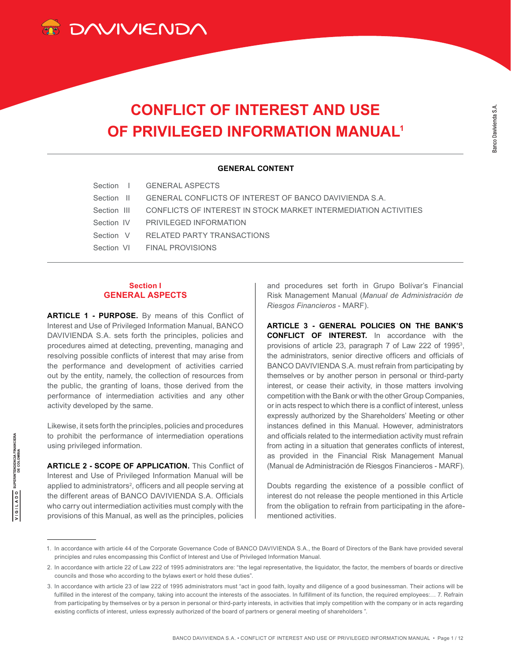

# **CONFLICT OF INTEREST AND USE OF PRIVILEGED INFORMATION MANUAL1**

#### **GENERAL CONTENT**

| Section   GENERAL ASPECTS                                                   |
|-----------------------------------------------------------------------------|
| Section II GENERAL CONFLICTS OF INTEREST OF BANCO DAVIVIENDA S.A.           |
| Section III CONFLICTS OF INTEREST IN STOCK MARKET INTERMEDIATION ACTIVITIES |
| Section IV PRIVII FGED INFORMATION                                          |
| Section V RELATED PARTY TRANSACTIONS                                        |
| Section VI FINAL PROVISIONS                                                 |

### **Section I GENERAL ASPECTS**

**ARTICLE 1 - PURPOSE.** By means of this Conflict of Interest and Use of Privileged Information Manual, BANCO DAVIVIENDA S.A. sets forth the principles, policies and procedures aimed at detecting, preventing, managing and resolving possible conflicts of interest that may arise from the performance and development of activities carried out by the entity, namely, the collection of resources from the public, the granting of loans, those derived from the performance of intermediation activities and any other activity developed by the same.

Likewise, it sets forth the principles, policies and procedures to prohibit the performance of intermediation operations using privileged information.

**SUPERINTENDENCIA FINANCIERA**<br>DE COLOMBIA

**ADSILADO** 

**ARTICLE 2 - SCOPE OF APPLICATION.** This Conflict of Interest and Use of Privileged Information Manual will be applied to administrators<sup>2</sup>, officers and all people serving at the different areas of BANCO DAVIVIENDA S.A. Officials who carry out intermediation activities must comply with the provisions of this Manual, as well as the principles, policies

and procedures set forth in Grupo Bolívar's Financial Risk Management Manual (*Manual de Administración de Riesgos Financieros* - MARF).

**ARTICLE 3 - GENERAL POLICIES ON THE BANK'S CONFLICT OF INTEREST.** In accordance with the provisions of article 23, paragraph 7 of Law 222 of 1995<sup>3</sup>, the administrators, senior directive officers and officials of BANCO DAVIVIENDA S.A. must refrain from participating by themselves or by another person in personal or third-party interest, or cease their activity, in those matters involving competition with the Bank or with the other Group Companies, or in acts respect to which there is a conflict of interest, unless expressly authorized by the Shareholders' Meeting or other instances defined in this Manual. However, administrators and officials related to the intermediation activity must refrain from acting in a situation that generates conflicts of interest, as provided in the Financial Risk Management Manual (Manual de Administración de Riesgos Financieros - MARF).

Doubts regarding the existence of a possible conflict of interest do not release the people mentioned in this Article from the obligation to refrain from participating in the aforementioned activities.

<sup>1.</sup> In accordance with article 44 of the Corporate Governance Code of BANCO DAVIVIENDA S.A., the Board of Directors of the Bank have provided several principles and rules encompassing this Conflict of Interest and Use of Privileged Information Manual.

<sup>2.</sup> In accordance with article 22 of Law 222 of 1995 administrators are: "the legal representative, the liquidator, the factor, the members of boards or directive councils and those who according to the bylaws exert or hold these duties".

<sup>3.</sup> In accordance with article 23 of law 222 of 1995 administrators must "act in good faith, loyalty and diligence of a good businessman. Their actions will be fulfilled in the interest of the company, taking into account the interests of the associates. In fulfillment of its function, the required employees:... 7. Refrain from participating by themselves or by a person in personal or third-party interests, in activities that imply competition with the company or in acts regarding existing conflicts of interest, unless expressly authorized of the board of partners or general meeting of shareholders ".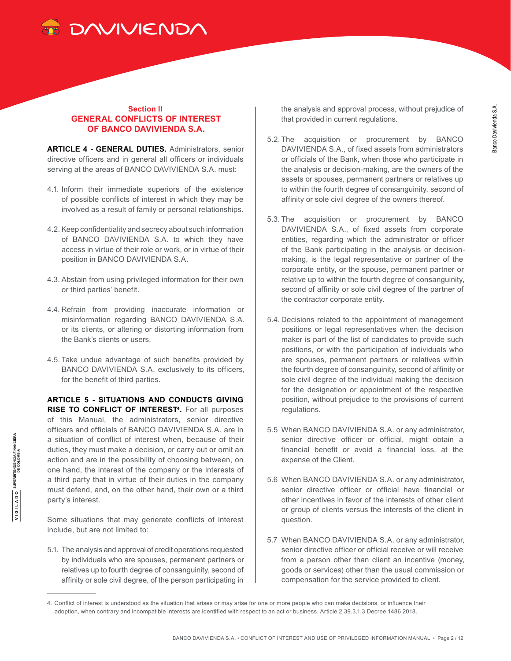

# **Section II GENERAL CONFLICTS OF INTEREST OF BANCO DAVIVIENDA S.A.**

**ARTICLE 4 - GENERAL DUTIES.** Administrators, senior directive officers and in general all officers or individuals serving at the areas of BANCO DAVIVIENDA S.A. must:

- 4.1. Inform their immediate superiors of the existence of possible conflicts of interest in which they may be involved as a result of family or personal relationships.
- 4.2. Keep confidentiality and secrecy about such information of BANCO DAVIVIENDA S.A. to which they have access in virtue of their role or work, or in virtue of their position in BANCO DAVIVIENDA S.A.
- 4.3. Abstain from using privileged information for their own or third parties' benefit.
- 4.4. Refrain from providing inaccurate information or misinformation regarding BANCO DAVIVIENDA S.A. or its clients, or altering or distorting information from the Bank's clients or users.
- 4.5. Take undue advantage of such benefits provided by BANCO DAVIVIENDA S.A. exclusively to its officers, for the benefit of third parties.

**ARTICLE 5 - SITUATIONS AND CONDUCTS GIVING RISE TO CONFLICT OF INTEREST<sup>4</sup>. For all purposes** of this Manual, the administrators, senior directive officers and officials of BANCO DAVIVIENDA S.A. are in a situation of conflict of interest when, because of their duties, they must make a decision, or carry out or omit an action and are in the possibility of choosing between, on one hand, the interest of the company or the interests of a third party that in virtue of their duties in the company must defend, and, on the other hand, their own or a third party's interest.

Some situations that may generate conflicts of interest include, but are not limited to:

5.1. The analysis and approval of credit operations requested by individuals who are spouses, permanent partners or relatives up to fourth degree of consanguinity, second of affinity or sole civil degree, of the person participating in

the analysis and approval process, without prejudice of that provided in current regulations.

- 5.2. The acquisition or procurement by BANCO DAVIVIENDA S.A., of fixed assets from administrators or officials of the Bank, when those who participate in the analysis or decision-making, are the owners of the assets or spouses, permanent partners or relatives up to within the fourth degree of consanguinity, second of affinity or sole civil degree of the owners thereof.
- 5.3. The acquisition or procurement by BANCO DAVIVIENDA S.A., of fixed assets from corporate entities, regarding which the administrator or officer of the Bank participating in the analysis or decisionmaking, is the legal representative or partner of the corporate entity, or the spouse, permanent partner or relative up to within the fourth degree of consanguinity, second of affinity or sole civil degree of the partner of the contractor corporate entity.
- 5.4. Decisions related to the appointment of management positions or legal representatives when the decision maker is part of the list of candidates to provide such positions, or with the participation of individuals who are spouses, permanent partners or relatives within the fourth degree of consanguinity, second of affinity or sole civil degree of the individual making the decision for the designation or appointment of the respective position, without prejudice to the provisions of current regulations.
- 5.5 When BANCO DAVIVIENDA S.A. or any administrator, senior directive officer or official, might obtain a financial benefit or avoid a financial loss, at the expense of the Client.
- 5.6 When BANCO DAVIVIENDA S.A. or any administrator, senior directive officer or official have financial or other incentives in favor of the interests of other client or group of clients versus the interests of the client in question.
- 5.7 When BANCO DAVIVIENDA S.A. or any administrator, senior directive officer or official receive or will receive from a person other than client an incentive (money, goods or services) other than the usual commission or compensation for the service provided to client.

 $\overline{I\mid G\mid L\;\mathrm{A}\;\mathrm{D}\;\mathrm{O}}\quad\text{SupersINTENDENCA}\;\mathsf{FINANCIERA}$ 

<sup>4.</sup> Conflict of interest is understood as the situation that arises or may arise for one or more people who can make decisions, or influence their adoption, when contrary and incompatible interests are identified with respect to an act or business. Article 2.39.3.1.3 Decree 1486 2018.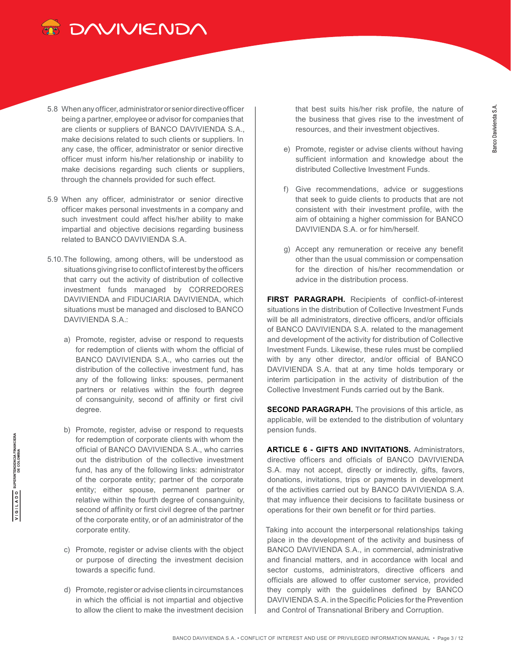

- 5.8 When any officer, administrator or senior directive officer being a partner, employee or advisor for companies that are clients or suppliers of BANCO DAVIVIENDA S.A., make decisions related to such clients or suppliers. In any case, the officer, administrator or senior directive officer must inform his/her relationship or inability to make decisions regarding such clients or suppliers, through the channels provided for such effect.
- 5.9 When any officer, administrator or senior directive officer makes personal investments in a company and such investment could affect his/her ability to make impartial and objective decisions regarding business related to BANCO DAVIVIENDA S.A.
- 5.10.The following, among others, will be understood as situations giving rise to conflict of interest by the officers that carry out the activity of distribution of collective investment funds managed by CORREDORES DAVIVIENDA and FIDUCIARIA DAVIVIENDA, which situations must be managed and disclosed to BANCO DAVIVIENDA S.A.:
	- a) Promote, register, advise or respond to requests for redemption of clients with whom the official of BANCO DAVIVIENDA S.A., who carries out the distribution of the collective investment fund, has any of the following links: spouses, permanent partners or relatives within the fourth degree of consanguinity, second of affinity or first civil degree.
	- b) Promote, register, advise or respond to requests for redemption of corporate clients with whom the official of BANCO DAVIVIENDA S.A., who carries out the distribution of the collective investment fund, has any of the following links: administrator of the corporate entity; partner of the corporate entity; either spouse, permanent partner or relative within the fourth degree of consanguinity, second of affinity or first civil degree of the partner of the corporate entity, or of an administrator of the corporate entity.
	- c) Promote, register or advise clients with the object or purpose of directing the investment decision towards a specific fund.
	- d) Promote, register or advise clients in circumstances in which the official is not impartial and objective to allow the client to make the investment decision

that best suits his/her risk profile, the nature of the business that gives rise to the investment of resources, and their investment objectives.

- e) Promote, register or advise clients without having sufficient information and knowledge about the distributed Collective Investment Funds.
- f) Give recommendations, advice or suggestions that seek to guide clients to products that are not consistent with their investment profile, with the aim of obtaining a higher commission for BANCO DAVIVIENDA S.A. or for him/herself.
- g) Accept any remuneration or receive any benefit other than the usual commission or compensation for the direction of his/her recommendation or advice in the distribution process.

**FIRST PARAGRAPH.** Recipients of conflict-of-interest situations in the distribution of Collective Investment Funds will be all administrators, directive officers, and/or officials of BANCO DAVIVIENDA S.A. related to the management and development of the activity for distribution of Collective Investment Funds. Likewise, these rules must be complied with by any other director, and/or official of BANCO DAVIVIENDA S.A. that at any time holds temporary or interim participation in the activity of distribution of the Collective Investment Funds carried out by the Bank.

**SECOND PARAGRAPH.** The provisions of this article, as applicable, will be extended to the distribution of voluntary pension funds.

**ARTICLE 6 - GIFTS AND INVITATIONS.** Administrators, directive officers and officials of BANCO DAVIVIENDA S.A. may not accept, directly or indirectly, gifts, favors, donations, invitations, trips or payments in development of the activities carried out by BANCO DAVIVIENDA S.A. that may influence their decisions to facilitate business or operations for their own benefit or for third parties.

Taking into account the interpersonal relationships taking place in the development of the activity and business of BANCO DAVIVIENDA S.A., in commercial, administrative and financial matters, and in accordance with local and sector customs, administrators, directive officers and officials are allowed to offer customer service, provided they comply with the guidelines defined by BANCO DAVIVIENDA S.A. in the Specific Policies for the Prevention and Control of Transnational Bribery and Corruption.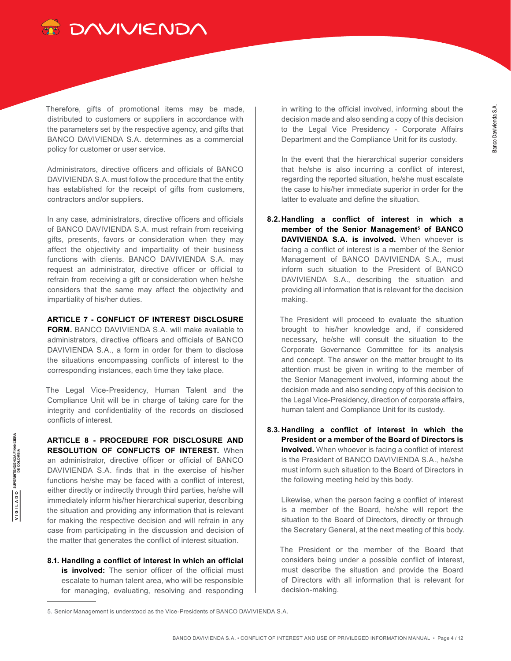

Therefore, gifts of promotional items may be made, distributed to customers or suppliers in accordance with the parameters set by the respective agency, and gifts that BANCO DAVIVIENDA S.A. determines as a commercial policy for customer or user service.

Administrators, directive officers and officials of BANCO DAVIVIENDA S.A. must follow the procedure that the entity has established for the receipt of gifts from customers, contractors and/or suppliers.

In any case, administrators, directive officers and officials of BANCO DAVIVIENDA S.A. must refrain from receiving gifts, presents, favors or consideration when they may affect the objectivity and impartiality of their business functions with clients. BANCO DAVIVIENDA S.A. may request an administrator, directive officer or official to refrain from receiving a gift or consideration when he/she considers that the same may affect the objectivity and impartiality of his/her duties.

#### **ARTICLE 7 - CONFLICT OF INTEREST DISCLOSURE**

**FORM.** BANCO DAVIVIENDA S.A. will make available to administrators, directive officers and officials of BANCO DAVIVIENDA S.A., a form in order for them to disclose the situations encompassing conflicts of interest to the corresponding instances, each time they take place.

The Legal Vice-Presidency, Human Talent and the Compliance Unit will be in charge of taking care for the integrity and confidentiality of the records on disclosed conflicts of interest.

**ARTICLE 8 - PROCEDURE FOR DISCLOSURE AND RESOLUTION OF CONFLICTS OF INTEREST.** When an administrator, directive officer or official of BANCO DAVIVIENDA S.A. finds that in the exercise of his/her functions he/she may be faced with a conflict of interest, either directly or indirectly through third parties, he/she will immediately inform his/her hierarchical superior, describing the situation and providing any information that is relevant for making the respective decision and will refrain in any case from participating in the discussion and decision of the matter that generates the conflict of interest situation.

**8.1. Handling a conflict of interest in which an official is involved:** The senior officer of the official must escalate to human talent area, who will be responsible for managing, evaluating, resolving and responding

in writing to the official involved, informing about the decision made and also sending a copy of this decision to the Legal Vice Presidency - Corporate Affairs Department and the Compliance Unit for its custody.

In the event that the hierarchical superior considers that he/she is also incurring a conflict of interest, regarding the reported situation, he/she must escalate the case to his/her immediate superior in order for the latter to evaluate and define the situation.

**8.2. Handling a conflict of interest in which a member of the Senior Management5 of BANCO DAVIVIENDA S.A. is involved.** When whoever is facing a conflict of interest is a member of the Senior Management of BANCO DAVIVIENDA S.A., must inform such situation to the President of BANCO DAVIVIENDA S.A., describing the situation and providing all information that is relevant for the decision making.

The President will proceed to evaluate the situation brought to his/her knowledge and, if considered necessary, he/she will consult the situation to the Corporate Governance Committee for its analysis and concept. The answer on the matter brought to its attention must be given in writing to the member of the Senior Management involved, informing about the decision made and also sending copy of this decision to the Legal Vice-Presidency, direction of corporate affairs, human talent and Compliance Unit for its custody.

**8.3. Handling a conflict of interest in which the President or a member of the Board of Directors is involved.** When whoever is facing a conflict of interest is the President of BANCO DAVIVIENDA S.A., he/she must inform such situation to the Board of Directors in the following meeting held by this body.

Likewise, when the person facing a conflict of interest is a member of the Board, he/she will report the situation to the Board of Directors, directly or through the Secretary General, at the next meeting of this body.

The President or the member of the Board that considers being under a possible conflict of interest, must describe the situation and provide the Board of Directors with all information that is relevant for decision-making.

<sup>5.</sup> Senior Management is understood as the Vice-Presidents of BANCO DAVIVIENDA S.A.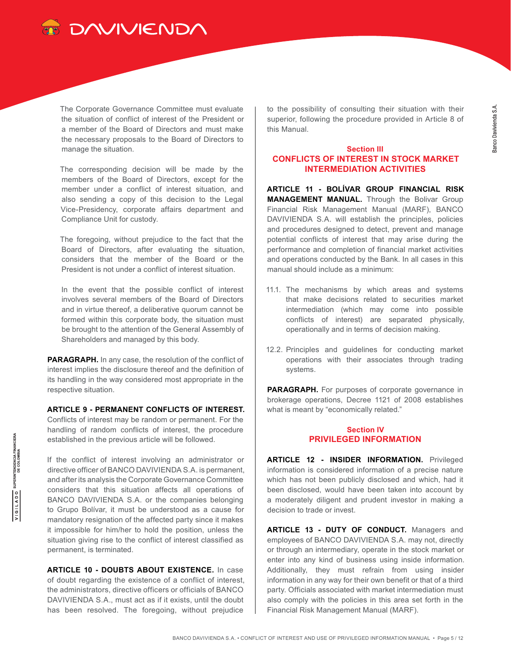

The Corporate Governance Committee must evaluate the situation of conflict of interest of the President or a member of the Board of Directors and must make the necessary proposals to the Board of Directors to manage the situation.

The corresponding decision will be made by the members of the Board of Directors, except for the member under a conflict of interest situation, and also sending a copy of this decision to the Legal Vice-Presidency, corporate affairs department and Compliance Unit for custody.

The foregoing, without prejudice to the fact that the Board of Directors, after evaluating the situation, considers that the member of the Board or the President is not under a conflict of interest situation.

In the event that the possible conflict of interest involves several members of the Board of Directors and in virtue thereof, a deliberative quorum cannot be formed within this corporate body, the situation must be brought to the attention of the General Assembly of Shareholders and managed by this body.

**PARAGRAPH.** In any case, the resolution of the conflict of interest implies the disclosure thereof and the definition of its handling in the way considered most appropriate in the respective situation.

**ARTICLE 9 - PERMANENT CONFLICTS OF INTEREST.** Conflicts of interest may be random or permanent. For the handling of random conflicts of interest, the procedure established in the previous article will be followed.

If the conflict of interest involving an administrator or directive officer of BANCO DAVIVIENDA S.A. is permanent, and after its analysis the Corporate Governance Committee considers that this situation affects all operations of BANCO DAVIVIENDA S.A. or the companies belonging to Grupo Bolívar, it must be understood as a cause for mandatory resignation of the affected party since it makes it impossible for him/her to hold the position, unless the situation giving rise to the conflict of interest classified as permanent, is terminated.

**ARTICLE 10 - DOUBTS ABOUT EXISTENCE.** In case of doubt regarding the existence of a conflict of interest, the administrators, directive officers or officials of BANCO DAVIVIENDA S.A., must act as if it exists, until the doubt has been resolved. The foregoing, without prejudice

to the possibility of consulting their situation with their superior, following the procedure provided in Article 8 of this Manual.

# **Section III CONFLICTS OF INTEREST IN STOCK MARKET INTERMEDIATION ACTIVITIES**

**ARTICLE 11 - BOLÍVAR GROUP FINANCIAL RISK MANAGEMENT MANUAL.** Through the Bolivar Group Financial Risk Management Manual (MARF), BANCO DAVIVIENDA S.A. will establish the principles, policies and procedures designed to detect, prevent and manage potential conflicts of interest that may arise during the performance and completion of financial market activities and operations conducted by the Bank. In all cases in this manual should include as a minimum:

- 11.1. The mechanisms by which areas and systems that make decisions related to securities market intermediation (which may come into possible conflicts of interest) are separated physically, operationally and in terms of decision making.
- 12.2. Principles and guidelines for conducting market operations with their associates through trading systems.

**PARAGRAPH.** For purposes of corporate governance in brokerage operations, Decree 1121 of 2008 establishes what is meant by "economically related."

### **Section IV PRIVILEGED INFORMATION**

**ARTICLE 12 - INSIDER INFORMATION.** Privileged information is considered information of a precise nature which has not been publicly disclosed and which, had it been disclosed, would have been taken into account by a moderately diligent and prudent investor in making a decision to trade or invest.

**ARTICLE 13 - DUTY OF CONDUCT.** Managers and employees of BANCO DAVIVIENDA S.A. may not, directly or through an intermediary, operate in the stock market or enter into any kind of business using inside information. Additionally, they must refrain from using insider information in any way for their own benefit or that of a third party. Officials associated with market intermediation must also comply with the policies in this area set forth in the Financial Risk Management Manual (MARF).

 $\overline{V}$  | G | L A D O  $\overline{O}$  SUPERINTENDENCIA FINANCIERA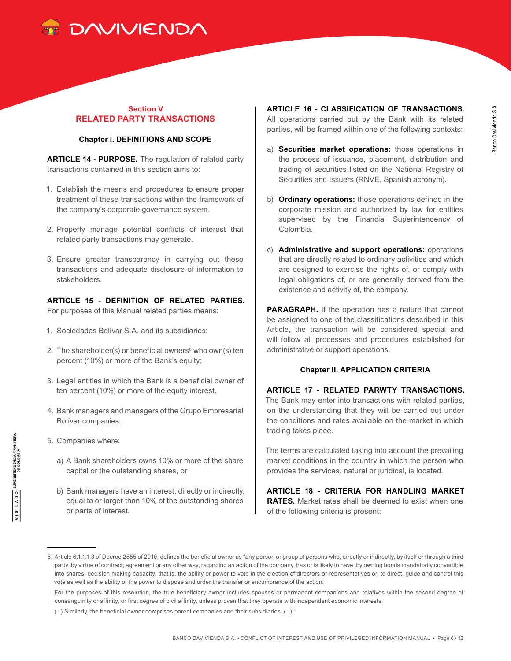

# **Section V RELATED PARTY TRANSACTIONS**

#### **Chapter I. DEFINITIONS AND SCOPE**

**ARTICLE 14 - PURPOSE.** The regulation of related party transactions contained in this section aims to:

- 1. Establish the means and procedures to ensure proper treatment of these transactions within the framework of the company's corporate governance system.
- 2. Properly manage potential conflicts of interest that related party transactions may generate.
- 3. Ensure greater transparency in carrying out these transactions and adequate disclosure of information to stakeholders.

**ARTICLE 15 - DEFINITION OF RELATED PARTIES.** For purposes of this Manual related parties means:

- 1. Sociedades Bolívar S.A. and its subsidiaries;
- 2. The shareholder(s) or beneficial owners<sup>6</sup> who own(s) ten percent (10%) or more of the Bank's equity;
- 3. Legal entities in which the Bank is a beneficial owner of ten percent (10%) or more of the equity interest.
- 4. Bank managers and managers of the Grupo Empresarial Bolívar companies.
- 5. Companies where:
	- a) A Bank shareholders owns 10% or more of the share capital or the outstanding shares, or
	- b) Bank managers have an interest, directly or indirectly, equal to or larger than 10% of the outstanding shares or parts of interest.

**ARTICLE 16 - CLASSIFICATION OF TRANSACTIONS.** All operations carried out by the Bank with its related parties, will be framed within one of the following contexts:

- a) **Securities market operations:** those operations in the process of issuance, placement, distribution and trading of securities listed on the National Registry of Securities and Issuers (RNVE, Spanish acronym).
- b) **Ordinary operations:** those operations defined in the corporate mission and authorized by law for entities supervised by the Financial Superintendency of Colombia.
- c) **Administrative and support operations:** operations that are directly related to ordinary activities and which are designed to exercise the rights of, or comply with legal obligations of, or are generally derived from the existence and activity of, the company.

**PARAGRAPH.** If the operation has a nature that cannot be assigned to one of the classifications described in this Article, the transaction will be considered special and will follow all processes and procedures established for administrative or support operations.

#### **Chapter II. APPLICATION CRITERIA**

# **ARTICLE 17 - RELATED PARWTY TRANSACTIONS.**

The Bank may enter into transactions with related parties, on the understanding that they will be carried out under the conditions and rates available on the market in which trading takes place.

The terms are calculated taking into account the prevailing market conditions in the country in which the person who provides the services, natural or juridical, is located.

**ARTICLE 18 - CRITERIA FOR HANDLING MARKET RATES.** Market rates shall be deemed to exist when one of the following criteria is present:

<sup>6.</sup> Article 6.1.1.1.3 of Decree 2555 of 2010, defines the beneficial owner as "any person or group of persons who, directly or indirectly, by itself or through a third party, by virtue of contract, agreement or any other way, regarding an action of the company, has or is likely to have, by owning bonds mandatorily convertible into shares, decision making capacity, that is, the ability or power to vote in the election of directors or representatives or, to direct, guide and control this vote as well as the ability or the power to dispose and order the transfer or encumbrance of the action.

For the purposes of this resolution, the true beneficiary owner includes spouses or permanent companions and relatives within the second degree of consanguinity or affinity, or first degree of civil affinity, unless proven that they operate with independent economic interests,

<sup>(...)</sup> Similarly, the beneficial owner comprises parent companies and their subsidiaries. (...) "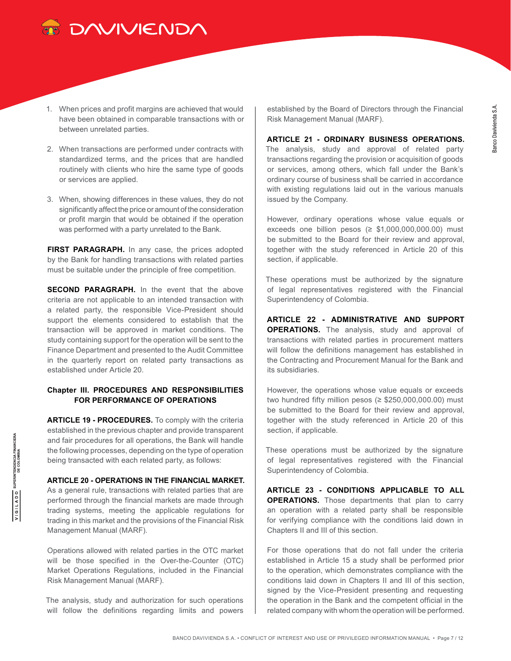

- 1. When prices and profit margins are achieved that would have been obtained in comparable transactions with or between unrelated parties.
- 2. When transactions are performed under contracts with standardized terms, and the prices that are handled routinely with clients who hire the same type of goods or services are applied.
- 3. When, showing differences in these values, they do not significantly affect the price or amount of the consideration or profit margin that would be obtained if the operation was performed with a party unrelated to the Bank.

**FIRST PARAGRAPH.** In any case, the prices adopted by the Bank for handling transactions with related parties must be suitable under the principle of free competition.

**SECOND PARAGRAPH.** In the event that the above criteria are not applicable to an intended transaction with a related party, the responsible Vice-President should support the elements considered to establish that the transaction will be approved in market conditions. The study containing support for the operation will be sent to the Finance Department and presented to the Audit Committee in the quarterly report on related party transactions as established under Article 20.

# **Chapter III. PROCEDURES AND RESPONSIBILITIES FOR PERFORMANCE OF OPERATIONS**

**ARTICLE 19 - PROCEDURES.** To comply with the criteria established in the previous chapter and provide transparent and fair procedures for all operations, the Bank will handle the following processes, depending on the type of operation being transacted with each related party, as follows:

#### **ARTICLE 20 - OPERATIONS IN THE FINANCIAL MARKET.**

As a general rule, transactions with related parties that are performed through the financial markets are made through trading systems, meeting the applicable regulations for trading in this market and the provisions of the Financial Risk Management Manual (MARF).

Operations allowed with related parties in the OTC market will be those specified in the Over-the-Counter (OTC) Market Operations Regulations, included in the Financial Risk Management Manual (MARF).

The analysis, study and authorization for such operations will follow the definitions regarding limits and powers

established by the Board of Directors through the Financial Risk Management Manual (MARF).

**ARTICLE 21 - ORDINARY BUSINESS OPERATIONS.** The analysis, study and approval of related party transactions regarding the provision or acquisition of goods or services, among others, which fall under the Bank's ordinary course of business shall be carried in accordance with existing regulations laid out in the various manuals issued by the Company.

However, ordinary operations whose value equals or exceeds one billion pesos ( $\geq$  \$1,000,000,000.00) must be submitted to the Board for their review and approval, together with the study referenced in Article 20 of this section, if applicable.

These operations must be authorized by the signature of legal representatives registered with the Financial Superintendency of Colombia.

**ARTICLE 22 - ADMINISTRATIVE AND SUPPORT OPERATIONS.** The analysis, study and approval of transactions with related parties in procurement matters will follow the definitions management has established in the Contracting and Procurement Manual for the Bank and its subsidiaries.

However, the operations whose value equals or exceeds two hundred fifty million pesos ( $\geq$  \$250,000,000.00) must be submitted to the Board for their review and approval, together with the study referenced in Article 20 of this section, if applicable.

These operations must be authorized by the signature of legal representatives registered with the Financial Superintendency of Colombia.

**ARTICLE 23 - CONDITIONS APPLICABLE TO ALL OPERATIONS.** Those departments that plan to carry an operation with a related party shall be responsible for verifying compliance with the conditions laid down in Chapters II and III of this section.

For those operations that do not fall under the criteria established in Article 15 a study shall be performed prior to the operation, which demonstrates compliance with the conditions laid down in Chapters II and III of this section, signed by the Vice-President presenting and requesting the operation in the Bank and the competent official in the related company with whom the operation will be performed.

 $\overline{V}$  | G | L A D O  $\overline{O}$  SUPERINTENDENCIA FINANCIERA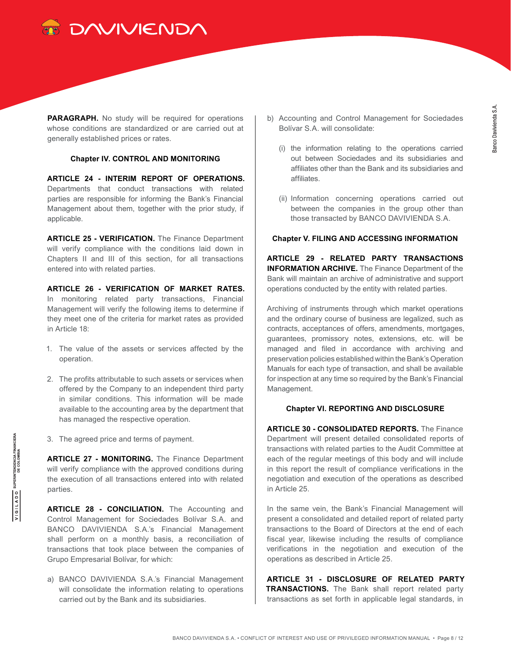

**PARAGRAPH.** No study will be required for operations whose conditions are standardized or are carried out at generally established prices or rates.

#### **Chapter IV. CONTROL AND MONITORING**

**ARTICLE 24 - INTERIM REPORT OF OPERATIONS.** Departments that conduct transactions with related parties are responsible for informing the Bank's Financial Management about them, together with the prior study, if applicable.

**ARTICLE 25 - VERIFICATION.** The Finance Department will verify compliance with the conditions laid down in Chapters II and III of this section, for all transactions entered into with related parties.

**ARTICLE 26 - VERIFICATION OF MARKET RATES.** In monitoring related party transactions, Financial Management will verify the following items to determine if they meet one of the criteria for market rates as provided in Article 18:

- 1. The value of the assets or services affected by the operation.
- 2. The profits attributable to such assets or services when offered by the Company to an independent third party in similar conditions. This information will be made available to the accounting area by the department that has managed the respective operation.
- 3. The agreed price and terms of payment.

**ARTICLE 27 - MONITORING.** The Finance Department will verify compliance with the approved conditions during the execution of all transactions entered into with related parties.

**ARTICLE 28 - CONCILIATION.** The Accounting and Control Management for Sociedades Bolívar S.A. and BANCO DAVIVIENDA S.A.'s Financial Management shall perform on a monthly basis, a reconciliation of transactions that took place between the companies of Grupo Empresarial Bolívar, for which:

a) BANCO DAVIVIENDA S.A.'s Financial Management will consolidate the information relating to operations carried out by the Bank and its subsidiaries.

- b) Accounting and Control Management for Sociedades Bolívar S.A. will consolidate:
	- (i) the information relating to the operations carried out between Sociedades and its subsidiaries and affiliates other than the Bank and its subsidiaries and affiliates.
	- (ii) Information concerning operations carried out between the companies in the group other than those transacted by BANCO DAVIVIENDA S.A.

### **Chapter V. FILING AND ACCESSING INFORMATION**

**ARTICLE 29 - RELATED PARTY TRANSACTIONS INFORMATION ARCHIVE.** The Finance Department of the Bank will maintain an archive of administrative and support operations conducted by the entity with related parties.

Archiving of instruments through which market operations and the ordinary course of business are legalized, such as contracts, acceptances of offers, amendments, mortgages, guarantees, promissory notes, extensions, etc. will be managed and filed in accordance with archiving and preservation policies established within the Bank's Operation Manuals for each type of transaction, and shall be available for inspection at any time so required by the Bank's Financial Management.

# **Chapter VI. REPORTING AND DISCLOSURE**

**ARTICLE 30 - CONSOLIDATED REPORTS.** The Finance Department will present detailed consolidated reports of transactions with related parties to the Audit Committee at each of the regular meetings of this body and will include in this report the result of compliance verifications in the negotiation and execution of the operations as described in Article 25.

In the same vein, the Bank's Financial Management will present a consolidated and detailed report of related party transactions to the Board of Directors at the end of each fiscal year, likewise including the results of compliance verifications in the negotiation and execution of the operations as described in Article 25.

**ARTICLE 31 - DISCLOSURE OF RELATED PARTY TRANSACTIONS.** The Bank shall report related party transactions as set forth in applicable legal standards, in

 $\overline{V}$  | G | L A D O  $\overline{O}$  superintendencia Financiera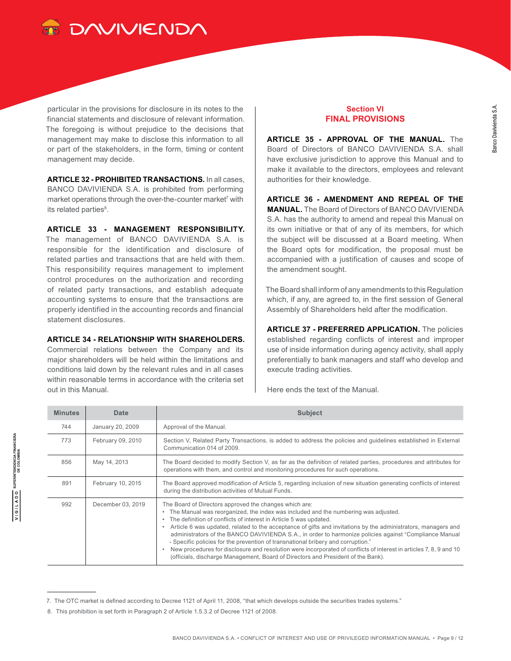

particular in the provisions for disclosure in its notes to the financial statements and disclosure of relevant information. The foregoing is without prejudice to the decisions that management may make to disclose this information to all or part of the stakeholders, in the form, timing or content management may decide.

**ARTICLE 32 - PROHIBITED TRANSACTIONS.** In all cases, BANCO DAVIVIENDA S.A. is prohibited from performing market operations through the over-the-counter market<sup>7</sup> with its related parties<sup>8</sup>.

**ARTICLE 33 - MANAGEMENT RESPONSIBILITY.**

The management of BANCO DAVIVIENDA S.A. is responsible for the identification and disclosure of related parties and transactions that are held with them. This responsibility requires management to implement control procedures on the authorization and recording of related party transactions, and establish adequate accounting systems to ensure that the transactions are properly identified in the accounting records and financial statement disclosures.

#### **ARTICLE 34 - RELATIONSHIP WITH SHAREHOLDERS.**

Commercial relations between the Company and its major shareholders will be held within the limitations and conditions laid down by the relevant rules and in all cases within reasonable terms in accordance with the criteria set out in this Manual.

# **Section VI FINAL PROVISIONS**

**ARTICLE 35 - APPROVAL OF THE MANUAL.** The Board of Directors of BANCO DAVIVIENDA S.A. shall have exclusive jurisdiction to approve this Manual and to make it available to the directors, employees and relevant authorities for their knowledge.

**ARTICLE 36 - AMENDMENT AND REPEAL OF THE MANUAL.** The Board of Directors of BANCO DAVIVIENDA S.A. has the authority to amend and repeal this Manual on its own initiative or that of any of its members, for which the subject will be discussed at a Board meeting. When the Board opts for modification, the proposal must be accompanied with a justification of causes and scope of the amendment sought.

The Board shall inform of any amendments to this Regulation which, if any, are agreed to, in the first session of General Assembly of Shareholders held after the modification.

**ARTICLE 37 - PREFERRED APPLICATION.** The policies established regarding conflicts of interest and improper use of inside information during agency activity, shall apply preferentially to bank managers and staff who develop and execute trading activities.

Here ends the text of the Manual.

| <b>Minutes</b>      | Date              | <b>Subject</b>                                                                                                                                                                                                                                                                                                                                                                                                                                                                                                                                                                                                                                                                                                                                                    |
|---------------------|-------------------|-------------------------------------------------------------------------------------------------------------------------------------------------------------------------------------------------------------------------------------------------------------------------------------------------------------------------------------------------------------------------------------------------------------------------------------------------------------------------------------------------------------------------------------------------------------------------------------------------------------------------------------------------------------------------------------------------------------------------------------------------------------------|
| 744                 | January 20, 2009  | Approval of the Manual.                                                                                                                                                                                                                                                                                                                                                                                                                                                                                                                                                                                                                                                                                                                                           |
| 773                 | February 09, 2010 | Section V, Related Party Transactions, is added to address the policies and guidelines established in External<br>Communication 014 of 2009.                                                                                                                                                                                                                                                                                                                                                                                                                                                                                                                                                                                                                      |
| May 14, 2013<br>856 |                   | The Board decided to modify Section V, as far as the definition of related parties, procedures and attributes for<br>operations with them, and control and monitoring procedures for such operations.                                                                                                                                                                                                                                                                                                                                                                                                                                                                                                                                                             |
| 891                 | February 10, 2015 | The Board approved modification of Article 5, regarding inclusion of new situation generating conflicts of interest<br>during the distribution activities of Mutual Funds.                                                                                                                                                                                                                                                                                                                                                                                                                                                                                                                                                                                        |
| 992                 | December 03, 2019 | The Board of Directors approved the changes which are:<br>The Manual was reorganized, the index was included and the numbering was adjusted.<br>$\bullet$<br>The definition of conflicts of interest in Article 5 was updated.<br>۰<br>Article 6 was updated, related to the acceptance of gifts and invitations by the administrators, managers and<br>۰<br>administrators of the BANCO DAVIVIENDA S.A., in order to harmonize policies against "Compliance Manual<br>- Specific policies for the prevention of transnational bribery and corruption."<br>New procedures for disclosure and resolution were incorporated of conflicts of interest in articles 7, 8, 9 and 10<br>(officials, discharge Management, Board of Directors and President of the Bank). |

<sup>7.</sup> The OTC market is defined according to Decree 1121 of April 11, 2008, "that which develops outside the securities trades systems."

<sup>8.</sup> This prohibition is set forth in Paragraph 2 of Article 1.5.3.2 of Decree 1121 of 2008.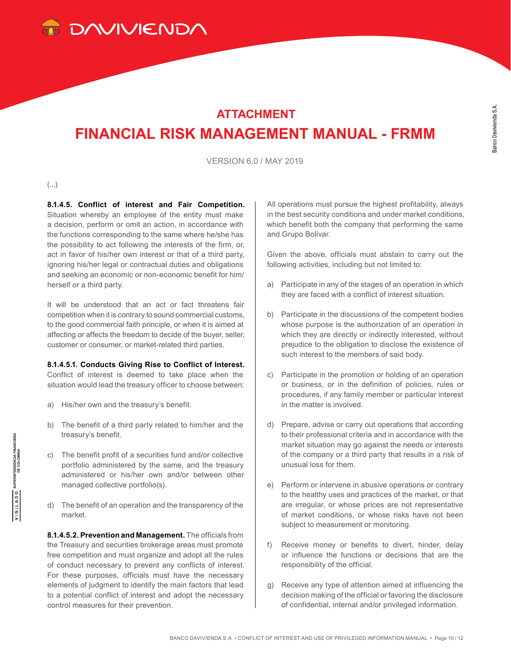

# **ATTACHMENT FINANCIAL RISK MANAGEMENT MANUAL - FRMM**

VERSION 6.0 / MAY 2019

(...)

**8.1.4.5. Conflict of interest and Fair Competition.** Situation whereby an employee of the entity must make a decision, perform or omit an action, in accordance with the functions corresponding to the same where he/she has the possibility to act following the interests of the firm, or, act in favor of his/her own interest or that of a third party, ignoring his/her legal or contractual duties and obligations and seeking an economic or non-economic benefit for him/ herself or a third party.

It will be understood that an act or fact threatens fair competition when it is contrary to sound commercial customs, to the good commercial faith principle, or when it is aimed at affecting or affects the freedom to decide of the buyer, seller, customer or consumer, or market-related third parties.

#### **8.1.4.5.1. Conducts Giving Rise to Conflict of Interest.**

Conflict of interest is deemed to take place when the situation would lead the treasury officer to choose between:

- a) His/her own and the treasury's benefit.
- b) The benefit of a third party related to him/her and the treasury's benefit.
- c) The benefit profit of a securities fund and/or collective portfolio administered by the same, and the treasury administered or his/her own and/or between other managed collective portfolio(s).
- d) The benefit of an operation and the transparency of the market.

**8.1.4.5.2. Prevention and Management.** The officials from the Treasury and securities brokerage areas must promote free competition and must organize and adopt all the rules of conduct necessary to prevent any conflicts of interest. For these purposes, officials must have the necessary elements of judgment to identify the main factors that lead to a potential conflict of interest and adopt the necessary control measures for their prevention.

All operations must pursue the highest profitability, always in the best security conditions and under market conditions, which benefit both the company that performing the same and Grupo Bolívar.

Given the above, officials must abstain to carry out the following activities, including but not limited to:

- a) Participate in any of the stages of an operation in which they are faced with a conflict of interest situation.
- b) Participate in the discussions of the competent bodies whose purpose is the authorization of an operation in which they are directly or indirectly interested, without prejudice to the obligation to disclose the existence of such interest to the members of said body.
- c) Participate in the promotion or holding of an operation or business, or in the definition of policies, rules or procedures, if any family member or particular interest in the matter is involved.
- d) Prepare, advise or carry out operations that according to their professional criteria and in accordance with the market situation may go against the needs or interests of the company or a third party that results in a risk of unusual loss for them.
- e) Perform or intervene in abusive operations or contrary to the healthy uses and practices of the market, or that are irregular, or whose prices are not representative of market conditions, or whose risks have not been subject to measurement or monitoring.
- f) Receive money or benefits to divert, hinder, delay or influence the functions or decisions that are the responsibility of the official.
- g) Receive any type of attention aimed at influencing the decision making of the official or favoring the disclosure of confidential, internal and/or privileged information.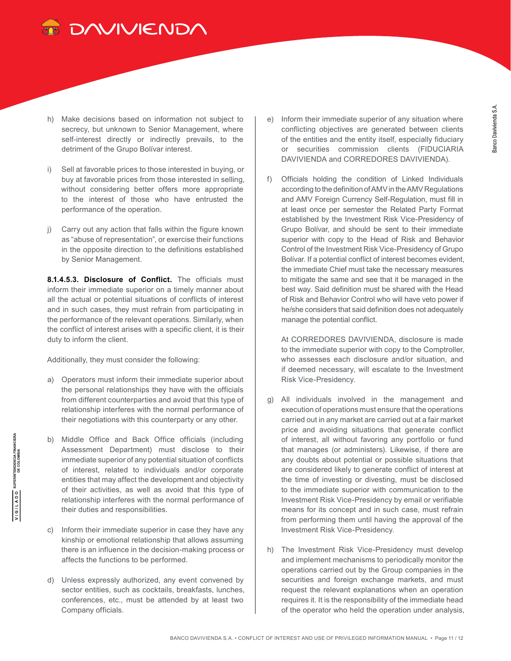

- h) Make decisions based on information not subject to secrecy, but unknown to Senior Management, where self-interest directly or indirectly prevails, to the detriment of the Grupo Bolívar interest.
- i) Sell at favorable prices to those interested in buying, or buy at favorable prices from those interested in selling, without considering better offers more appropriate to the interest of those who have entrusted the performance of the operation.
- j) Carry out any action that falls within the figure known as "abuse of representation", or exercise their functions in the opposite direction to the definitions established by Senior Management.

**8.1.4.5.3. Disclosure of Conflict.** The officials must inform their immediate superior on a timely manner about all the actual or potential situations of conflicts of interest and in such cases, they must refrain from participating in the performance of the relevant operations. Similarly, when the conflict of interest arises with a specific client, it is their duty to inform the client.

Additionally, they must consider the following:

- a) Operators must inform their immediate superior about the personal relationships they have with the officials from different counterparties and avoid that this type of relationship interferes with the normal performance of their negotiations with this counterparty or any other.
- b) Middle Office and Back Office officials (including Assessment Department) must disclose to their immediate superior of any potential situation of conflicts of interest, related to individuals and/or corporate entities that may affect the development and objectivity of their activities, as well as avoid that this type of relationship interferes with the normal performance of their duties and responsibilities.
- c) Inform their immediate superior in case they have any kinship or emotional relationship that allows assuming there is an influence in the decision-making process or affects the functions to be performed.
- d) Unless expressly authorized, any event convened by sector entities, such as cocktails, breakfasts, lunches, conferences, etc., must be attended by at least two Company officials.
- e) Inform their immediate superior of any situation where conflicting objectives are generated between clients of the entities and the entity itself, especially fiduciary or securities commission clients (FIDUCIARIA DAVIVIENDA and CORREDORES DAVIVIENDA).
- f) Officials holding the condition of Linked Individuals according to the definition of AMV in the AMV Regulations and AMV Foreign Currency Self-Regulation, must fill in at least once per semester the Related Party Format established by the Investment Risk Vice-Presidency of Grupo Bolívar, and should be sent to their immediate superior with copy to the Head of Risk and Behavior Control of the Investment Risk Vice-Presidency of Grupo Bolívar. If a potential conflict of interest becomes evident, the immediate Chief must take the necessary measures to mitigate the same and see that it be managed in the best way. Said definition must be shared with the Head of Risk and Behavior Control who will have veto power if he/she considers that said definition does not adequately manage the potential conflict.

At CORREDORES DAVIVIENDA, disclosure is made to the immediate superior with copy to the Comptroller, who assesses each disclosure and/or situation, and if deemed necessary, will escalate to the Investment Risk Vice-Presidency.

- g) All individuals involved in the management and execution of operations must ensure that the operations carried out in any market are carried out at a fair market price and avoiding situations that generate conflict of interest, all without favoring any portfolio or fund that manages (or administers). Likewise, if there are any doubts about potential or possible situations that are considered likely to generate conflict of interest at the time of investing or divesting, must be disclosed to the immediate superior with communication to the Investment Risk Vice-Presidency by email or verifiable means for its concept and in such case, must refrain from performing them until having the approval of the Investment Risk Vice-Presidency.
- h) The Investment Risk Vice-Presidency must develop and implement mechanisms to periodically monitor the operations carried out by the Group companies in the securities and foreign exchange markets, and must request the relevant explanations when an operation requires it. It is the responsibility of the immediate head of the operator who held the operation under analysis,